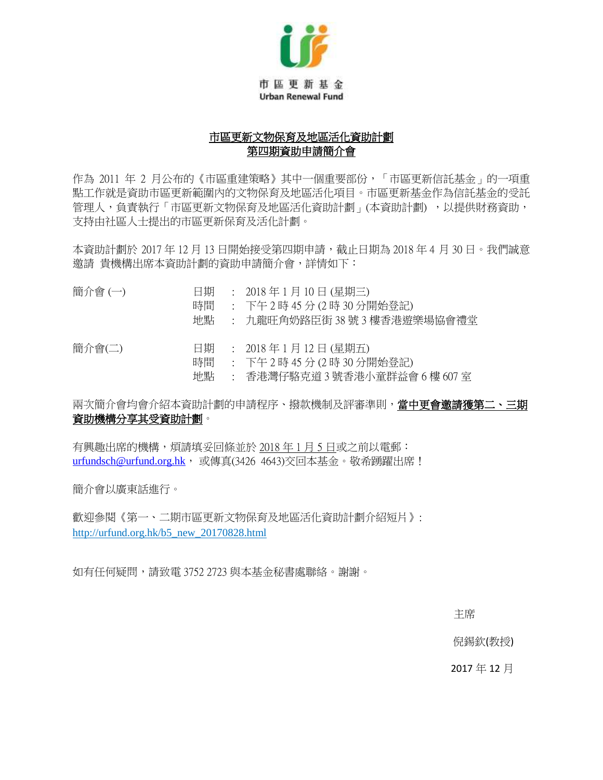

### 市區更新文物保育及地區活化資助計劃 第四期資助申請簡介會

作為 2011 年 2 月公布的《市區重建策略》其中一個重要部份,「市區更新信託基金」的一項重 點工作就是資助市區更新範圍內的文物保育及地區活化項目。市區更新基金作為信託基金的受託 管理人,負責執行「市區更新文物保育及地區活化資助計劃」(本資助計劃),,以提供財務資助, 支持由社區人士提出的市區更新保育及活化計劃。

本資助計劃於 2017年12月13日開始接受第四期申請,截止日期為 2018年4月30日。我們誠意 邀請 貴機構出席本資助計劃的資助申請簡介會,詳情如下:

| 簡介會(一) | 日期<br>時間<br>地點 | : 2018年1月10日(星期三)<br>: 下午2時 45 分 (2 時 30 分開始登記)<br>: 九龍旺角奶路臣街 38 號 3 樓香港遊樂場協會禮堂                            |
|--------|----------------|------------------------------------------------------------------------------------------------------------|
| 簡介會(二) | 日期<br>時間<br>地點 | : $2018 \ncong 1 \ncong 12 \ncong (\ncong 1.12)$<br>: 下午2時 45 分 (2 時 30 分開始登記)<br>: 香港灣仔駱克道3號香港小童群益會6樓607室 |

兩次簡介會均會介紹本資助計劃的申請程序、撥款機制及評審準則,當中更會邀請獲第二、三期 資助機構分享其受資助計劃。

有興趣出席的機構,煩請填妥回條並於 2018 年 1 月 5 日或之前以電郵: [urfundsch@urfund.org.hk](mailto:urfundsch@urfund.org.hk), 或傳真(3426 4643)交回本基金。敬希踴躍出席!

簡介會以廣東話進行。

歡迎參閱《第一、二期市區更新文物保育及地區活化資助計劃介紹短片》: http://urfund.org.hk/b5\_new\_20170828.html

如有任何疑問,請致電 3752 2723 與本基金秘書處聯絡。謝謝。

この こうしょう しょうしょう しょうしょう しょうしょう こうしょう 主席

倪錫欽(教授)

2017 年 12 月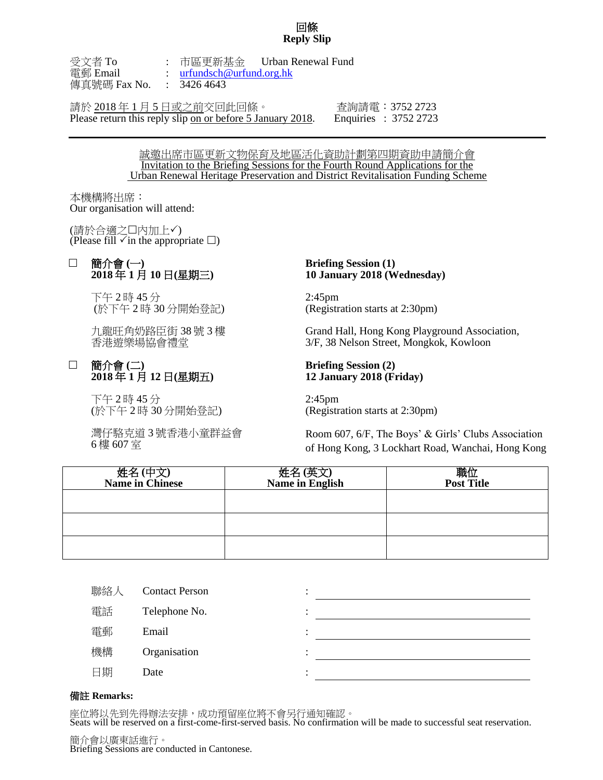#### 回條 **Reply Slip**

受文者 To : 市區更新基金 Urban Renewal Fund 電郵 Email : [urfundsch@urfund.org.hk](mailto:urfundsch@urfund.org.hk) 傳真號碼 Fax No. : 3426 4643

請於 2018 年 1 月 5 日或之前交回此回條。 查詢請電:3752 2723 Please return this reply slip on or before 5 January 2018. Enquiries : 3752 2723

誠邀出席市區更新文物保育及地區活化資助計劃第四期資助申請簡介會 Invitation to the Briefing Sessions for the Fourth Round Applications for the Urban Renewal Heritage Preservation and District Revitalisation Funding Scheme

本機構將出席: Our organisation will attend:

(請於合適之口內加上√) (Please fill  $\checkmark$  in the appropriate  $\Box$ )

### 簡介會 **(**一**) 2018** 年 **1** 月 **10** 日**(**星期三**)**

下午 2 時 45 分 (於下午 2 時 30 分開始登記)

九龍旺角奶路臣街 38 號 3 樓 香港遊樂場協會禮堂

### 簡介會 **(**二**) 2018** 年 **1** 月 **12** 日**(**星期五**)**

下午 2 時 45 分 (於下午 2 時 30 分開始登記)

灣仔駱克道 3 號香港小童群益會 6 樓 607 室

#### **Briefing Session (1) 10 January 2018 (Wednesday)**

2:45pm (Registration starts at 2:30pm)

Grand Hall, Hong Kong Playground Association, 3/F, 38 Nelson Street, Mongkok, Kowloon

#### **Briefing Session (2) 12 January 2018 (Friday)**

2:45pm (Registration starts at 2:30pm)

Room 607, 6/F, The Boys' & Girls' Clubs Association of Hong Kong, 3 Lockhart Road, Wanchai, Hong Kong

| 姓名(中文)<br><b>Name in Chinese</b> | 姓名(英文<br><b>Name in English</b> | 職位<br><b>Post Title</b> |
|----------------------------------|---------------------------------|-------------------------|
|                                  |                                 |                         |
|                                  |                                 |                         |
|                                  |                                 |                         |

| 聯絡人 | <b>Contact Person</b> | ٠ |  |
|-----|-----------------------|---|--|
| 電話  | Telephone No.         | ٠ |  |
| 電郵  | Email                 | ٠ |  |
| 機構  | Organisation          | ٠ |  |
| 日期  | Date                  | ٠ |  |
|     |                       |   |  |

#### 備註 **Remarks:**

座位將以先到先得辦法安排,成功預留座位將不會另行通知確認。

Seats will be reserved on a first-come-first-served basis. No confirmation will be made to successful seat reservation.

簡介會以廣東話進行。 Briefing Sessions are conducted in Cantonese.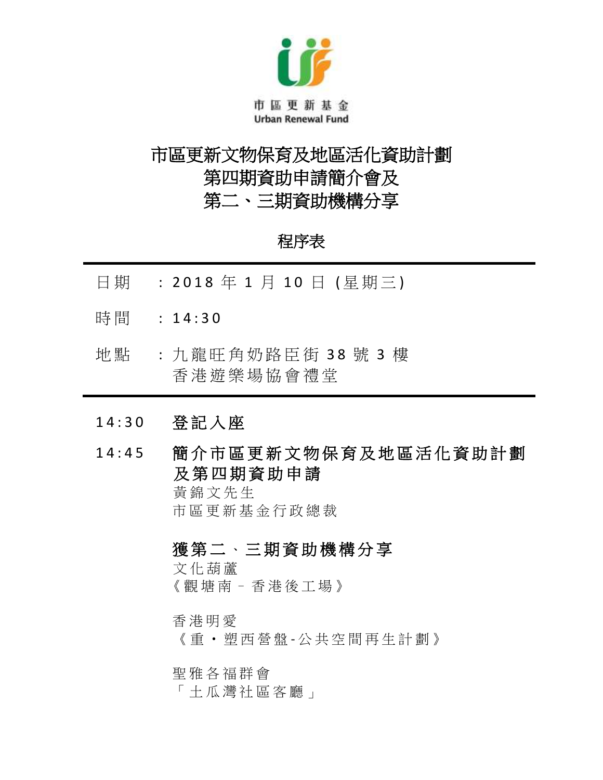

# 市區更新文物保育及地區活化資助計劃 第四期資助申請簡介會及 第二、三期資助機構分享

## 程序表

- 日期 : 2018年1月10日 (星期三)
- 時間 : 14:30
- 地點 : 九龍旺角奶路臣街 38號 3樓 香 港 遊 樂 場 協 會 禮 堂
- 1 4 : 3 0 登 記 入 座
- 14:45 簡介市區更新文物保育及地區活化資助計劃 及 第 四 期 資 助 申 請

黃錦文先生 市 區 更 新 基 金 行 政 總 裁

獲第二、三期資助機構分享

文化葫蘆 《 觀塘南 – [香 港 後 工 場](javascript:void(0);) 》

香港明愛

《 重 ‧ 塑 西 營 盤 - 公 共 空 間 再 生 計 劃 》

[聖 雅 各 福 群 會](https://www.sjs.org.hk/)

「 土 瓜 灣 社 區 客 廳 」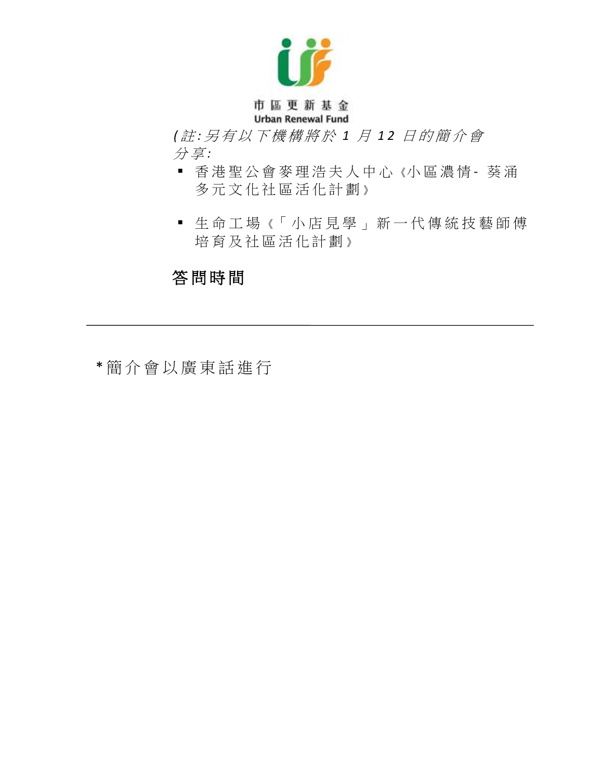

## 市區更新基金 **Urban Renewal Fund**

 *(* 註 *:* 另 有 以 下 機 構 將 於 *1* 月 *1 2* 日 的 簡 介 會 分 享 *:*

- 香 港 聖 公 會 麥 理 浩 夫 人 中 心 《小 區 濃 情 葵 涌 多元文化社區活化計劃》
- 生命工場《「小店見學」新一代傳統技藝師傅 培育及社區活化計劃》

# 答 問 時 間

\* 簡 介 會 以 廣 東 話 進 行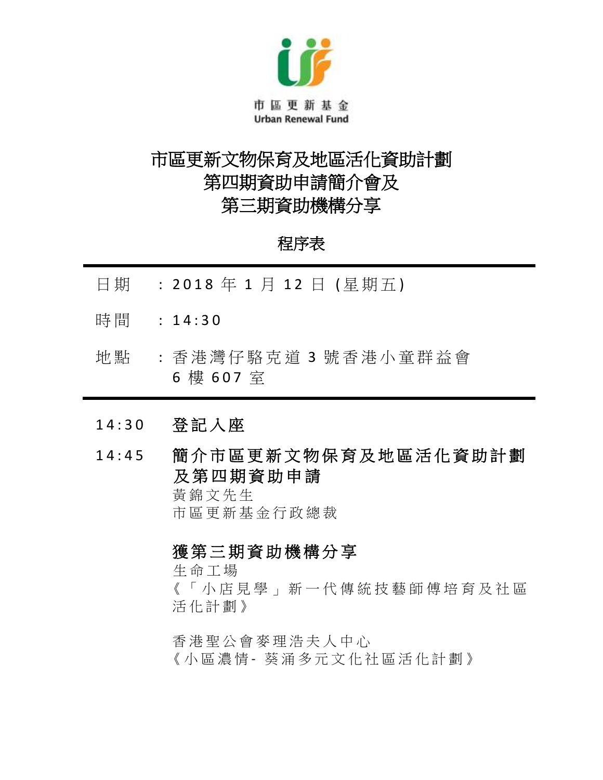

# 市區更新文物保育及地區活化資助計劃 第四期資助申請簡介會及 第三期資助機構分享

## 程序表

- 日期 : 2018年1月12日 (星期五)
- 時間 : 14:30
- 地點 : 香港灣仔駱克道 3 號香港小童群益會 6 樓 607 室
- 1 4 : 3 0 登 記 入 座
- 1 4 : 4 5 簡 介 市 區 更 新 文 物 保 育 及 地 區 活 化 資 助 計 劃 及 第 四 期 資 助 申 請

黃 錦 文 先 生 市 區 更 新 基 金 行 政 總 裁

## 獲第三期資助機構分享

生命工場 《 「 小 店 見 學 」 新 一 代 傳 統 技 藝 師 傅 培 育 及 社 區 活化計劃 》

香 港 聖 公 會 麥 理 浩 夫 人 中 心 《小區濃情 - 葵 涌 多 元 文 化 社 區 活 化 計 劃 》